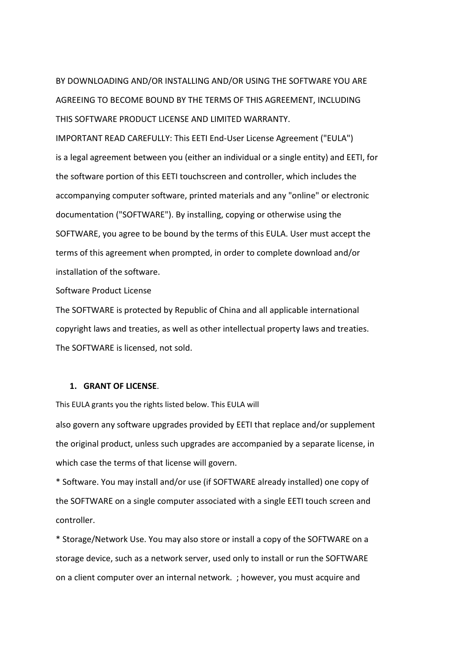BY DOWNLOADING AND/OR INSTALLING AND/OR USING THE SOFTWARE YOU ARE AGREEING TO BECOME BOUND BY THE TERMS OF THIS AGREEMENT, INCLUDING THIS SOFTWARE PRODUCT LICENSE AND LIMITED WARRANTY.

IMPORTANT READ CAREFULLY: This EETI End‐User License Agreement ("EULA") is a legal agreement between you (either an individual or a single entity) and EETI, for the software portion of this EETI touchscreen and controller, which includes the accompanying computer software, printed materials and any "online" or electronic documentation ("SOFTWARE"). By installing, copying or otherwise using the SOFTWARE, you agree to be bound by the terms of this EULA. User must accept the terms of this agreement when prompted, in order to complete download and/or installation of the software.

Software Product License

The SOFTWARE is protected by Republic of China and all applicable international copyright laws and treaties, as well as other intellectual property laws and treaties. The SOFTWARE is licensed, not sold.

## **1. GRANT OF LICENSE**.

This EULA grants you the rights listed below. This EULA will

also govern any software upgrades provided by EETI that replace and/or supplement the original product, unless such upgrades are accompanied by a separate license, in which case the terms of that license will govern.

\* Software. You may install and/or use (if SOFTWARE already installed) one copy of the SOFTWARE on a single computer associated with a single EETI touch screen and controller.

\* Storage/Network Use. You may also store or install a copy of the SOFTWARE on a storage device, such as a network server, used only to install or run the SOFTWARE on a client computer over an internal network. ; however, you must acquire and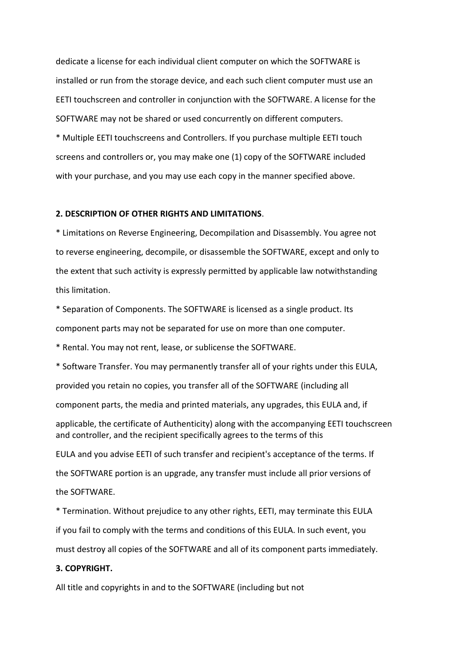dedicate a license for each individual client computer on which the SOFTWARE is installed or run from the storage device, and each such client computer must use an EETI touchscreen and controller in conjunction with the SOFTWARE. A license for the SOFTWARE may not be shared or used concurrently on different computers.

\* Multiple EETI touchscreens and Controllers. If you purchase multiple EETI touch screens and controllers or, you may make one (1) copy of the SOFTWARE included with your purchase, and you may use each copy in the manner specified above.

## **2. DESCRIPTION OF OTHER RIGHTS AND LIMITATIONS**.

\* Limitations on Reverse Engineering, Decompilation and Disassembly. You agree not to reverse engineering, decompile, or disassemble the SOFTWARE, except and only to the extent that such activity is expressly permitted by applicable law notwithstanding this limitation.

\* Separation of Components. The SOFTWARE is licensed as a single product. Its component parts may not be separated for use on more than one computer.

\* Rental. You may not rent, lease, or sublicense the SOFTWARE.

\* Software Transfer. You may permanently transfer all of your rights under this EULA, provided you retain no copies, you transfer all of the SOFTWARE (including all component parts, the media and printed materials, any upgrades, this EULA and, if applicable, the certificate of Authenticity) along with the accompanying EETI touchscreen and controller, and the recipient specifically agrees to the terms of this EULA and you advise EETI of such transfer and recipient's acceptance of the terms. If the SOFTWARE portion is an upgrade, any transfer must include all prior versions of

the SOFTWARE.

\* Termination. Without prejudice to any other rights, EETI, may terminate this EULA if you fail to comply with the terms and conditions of this EULA. In such event, you must destroy all copies of the SOFTWARE and all of its component parts immediately.

## **3. COPYRIGHT.**

All title and copyrights in and to the SOFTWARE (including but not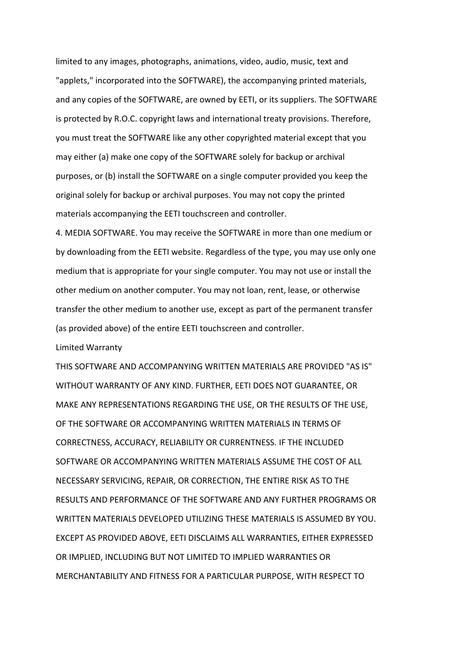limited to any images, photographs, animations, video, audio, music, text and "applets," incorporated into the SOFTWARE), the accompanying printed materials, and any copies of the SOFTWARE, are owned by EETI, or its suppliers. The SOFTWARE is protected by R.O.C. copyright laws and international treaty provisions. Therefore, you must treat the SOFTWARE like any other copyrighted material except that you may either (a) make one copy of the SOFTWARE solely for backup or archival purposes, or (b) install the SOFTWARE on a single computer provided you keep the original solely for backup or archival purposes. You may not copy the printed materials accompanying the EETI touchscreen and controller.

4. MEDIA SOFTWARE. You may receive the SOFTWARE in more than one medium or by downloading from the EETI website. Regardless of the type, you may use only one medium that is appropriate for your single computer. You may not use or install the other medium on another computer. You may not loan, rent, lease, or otherwise transfer the other medium to another use, except as part of the permanent transfer (as provided above) of the entire EETI touchscreen and controller.

Limited Warranty

THIS SOFTWARE AND ACCOMPANYING WRITTEN MATERIALS ARE PROVIDED "AS IS" WITHOUT WARRANTY OF ANY KIND. FURTHER, EETI DOES NOT GUARANTEE, OR MAKE ANY REPRESENTATIONS REGARDING THE USE, OR THE RESULTS OF THE USE, OF THE SOFTWARE OR ACCOMPANYING WRITTEN MATERIALS IN TERMS OF CORRECTNESS, ACCURACY, RELIABILITY OR CURRENTNESS. IF THE INCLUDED SOFTWARE OR ACCOMPANYING WRITTEN MATERIALS ASSUME THE COST OF ALL NECESSARY SERVICING, REPAIR, OR CORRECTION, THE ENTIRE RISK AS TO THE RESULTS AND PERFORMANCE OF THE SOFTWARE AND ANY FURTHER PROGRAMS OR WRITTEN MATERIALS DEVELOPED UTILIZING THESE MATERIALS IS ASSUMED BY YOU. EXCEPT AS PROVIDED ABOVE, EETI DISCLAIMS ALL WARRANTIES, EITHER EXPRESSED OR IMPLIED, INCLUDING BUT NOT LIMITED TO IMPLIED WARRANTIES OR MERCHANTABILITY AND FITNESS FOR A PARTICULAR PURPOSE, WITH RESPECT TO